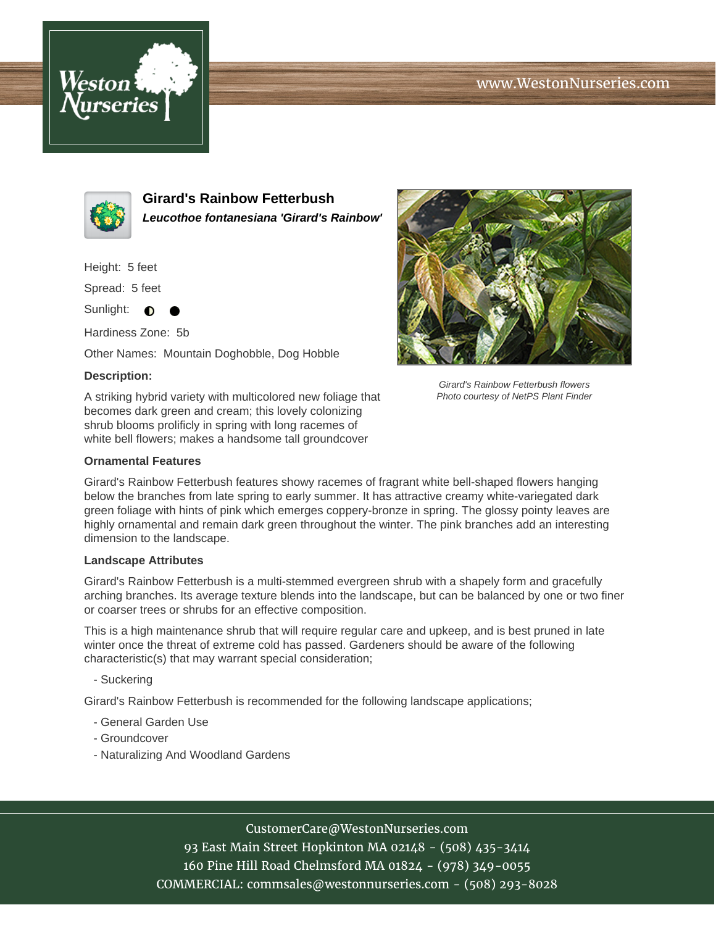# www.WestonNurseries.com





**Girard's Rainbow Fetterbush Leucothoe fontanesiana 'Girard's Rainbow'**

Height: 5 feet

Spread: 5 feet

Sunlight:  $\bullet$ 

Hardiness Zone: 5b

Other Names: Mountain Doghobble, Dog Hobble

### **Description:**

A striking hybrid variety with multicolored new foliage that becomes dark green and cream; this lovely colonizing shrub blooms prolificly in spring with long racemes of white bell flowers; makes a handsome tall groundcover

#### **Ornamental Features**

Girard's Rainbow Fetterbush features showy racemes of fragrant white bell-shaped flowers hanging below the branches from late spring to early summer. It has attractive creamy white-variegated dark green foliage with hints of pink which emerges coppery-bronze in spring. The glossy pointy leaves are highly ornamental and remain dark green throughout the winter. The pink branches add an interesting dimension to the landscape.

#### **Landscape Attributes**

Girard's Rainbow Fetterbush is a multi-stemmed evergreen shrub with a shapely form and gracefully arching branches. Its average texture blends into the landscape, but can be balanced by one or two finer or coarser trees or shrubs for an effective composition.

This is a high maintenance shrub that will require regular care and upkeep, and is best pruned in late winter once the threat of extreme cold has passed. Gardeners should be aware of the following characteristic(s) that may warrant special consideration;

- Suckering

Girard's Rainbow Fetterbush is recommended for the following landscape applications;

- General Garden Use
- Groundcover
- Naturalizing And Woodland Gardens

CustomerCare@WestonNurseries.com

93 East Main Street Hopkinton MA 02148 - (508) 435-3414 160 Pine Hill Road Chelmsford MA 01824 - (978) 349-0055 COMMERCIAL: commsales@westonnurseries.com - (508) 293-8028



Girard's Rainbow Fetterbush flowers Photo courtesy of NetPS Plant Finder